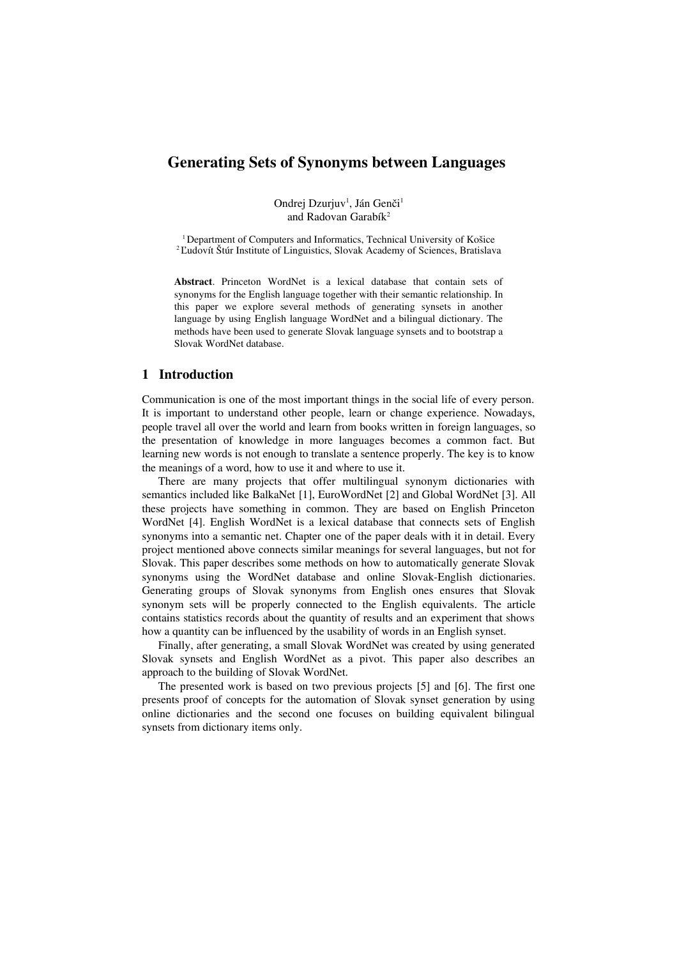# **Generating Sets of Synonyms between Languages**

Ondrej Dzurjuv<sup>1</sup>, Ján Genči<sup>1</sup> and Radovan Garabík<sup>2</sup>

<sup>1</sup> Department of Computers and Informatics, Technical University of Košice <sup>2</sup> Ľudovít Štúr Institute of Linguistics, Slovak Academy of Sciences, Bratislava

**Abstract**. Princeton WordNet is a lexical database that contain sets of synonyms for the English language together with their semantic relationship. In this paper we explore several methods of generating synsets in another language by using English language WordNet and a bilingual dictionary. The methods have been used to generate Slovak language synsets and to bootstrap a Slovak WordNet database.

# **1 Introduction**

Communication is one of the most important things in the social life of every person. It is important to understand other people, learn or change experience. Nowadays, people travel all over the world and learn from books written in foreign languages, so the presentation of knowledge in more languages becomes a common fact. But learning new words is not enough to translate a sentence properly. The key is to know the meanings of a word, how to use it and where to use it.

There are many projects that offer multilingual synonym dictionaries with semantics included like BalkaNet [1], EuroWordNet [2] and Global WordNet [3]. All these projects have something in common. They are based on English Princeton WordNet [4]. English WordNet is a lexical database that connects sets of English synonyms into a semantic net. Chapter one of the paper deals with it in detail. Every project mentioned above connects similar meanings for several languages, but not for Slovak. This paper describes some methods on how to automatically generate Slovak synonyms using the WordNet database and online Slovak-English dictionaries. Generating groups of Slovak synonyms from English ones ensures that Slovak synonym sets will be properly connected to the English equivalents. The article contains statistics records about the quantity of results and an experiment that shows how a quantity can be influenced by the usability of words in an English synset.

Finally, after generating, a small Slovak WordNet was created by using generated Slovak synsets and English WordNet as a pivot. This paper also describes an approach to the building of Slovak WordNet.

The presented work is based on two previous projects [5] and [6]. The first one presents proof of concepts for the automation of Slovak synset generation by using online dictionaries and the second one focuses on building equivalent bilingual synsets from dictionary items only.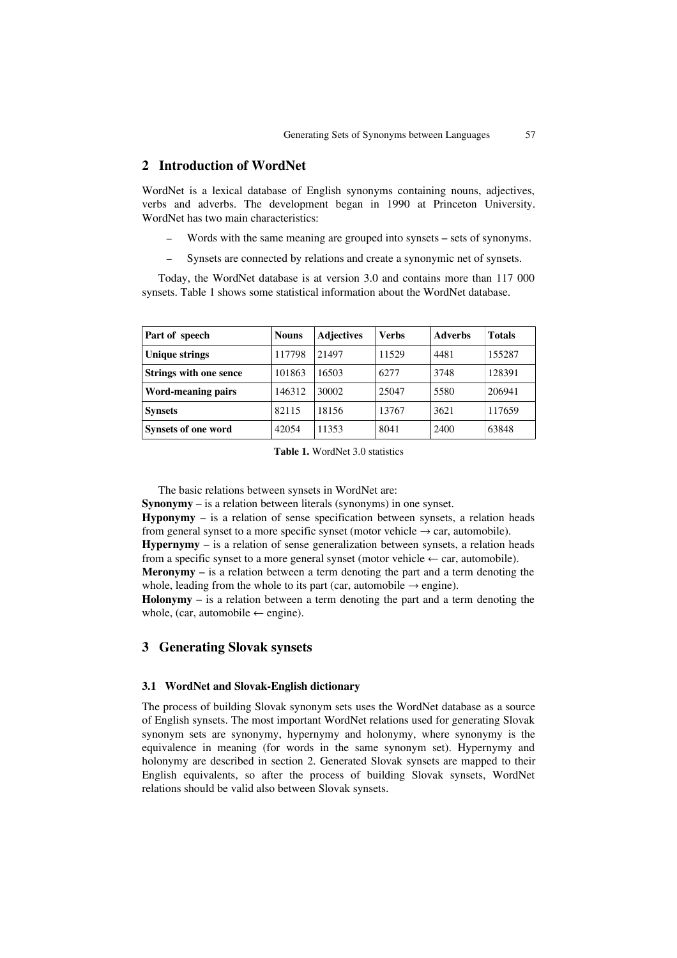# **2 Introduction of WordNet**

WordNet is a lexical database of English synonyms containing nouns, adjectives, verbs and adverbs. The development began in 1990 at Princeton University. WordNet has two main characteristics:

- Words with the same meaning are grouped into synsets sets of synonyms.
- ‒ Synsets are connected by relations and create a synonymic net of synsets.

Today, the WordNet database is at version 3.0 and contains more than 117 000 synsets. Table [1](#page-1-0) shows some statistical information about the WordNet database.

| Part of speech                | <b>Nouns</b> | <b>Adjectives</b> | <b>Verbs</b> | <b>Adverbs</b> | <b>Totals</b> |
|-------------------------------|--------------|-------------------|--------------|----------------|---------------|
| <b>Unique strings</b>         | 117798       | 21497             | 11529        | 4481           | 155287        |
| <b>Strings with one sence</b> | 101863       | 16503             | 6277         | 3748           | 128391        |
| Word-meaning pairs            | 146312       | 30002             | 25047        | 5580           | 206941        |
| <b>Synsets</b>                | 82115        | 18156             | 13767        | 3621           | 117659        |
| <b>Synsets of one word</b>    | 42054        | 11353             | 8041         | 2400           | 63848         |

<span id="page-1-0"></span>**Table 1.** WordNet 3.0 statistics

The basic relations between synsets in WordNet are:

**Synonymy** – is a relation between literals (synonyms) in one synset.

**Hyponymy** – is a relation of sense specification between synsets, a relation heads from general synset to a more specific synset (motor vehicle  $\rightarrow$  car, automobile).

**Hypernymy** – is a relation of sense generalization between synsets, a relation heads from a specific synset to a more general synset (motor vehicle  $\leftarrow$  car, automobile).

**Meronymy** – is a relation between a term denoting the part and a term denoting the whole, leading from the whole to its part (car, automobile  $\rightarrow$  engine).

**Holonymy** – is a relation between a term denoting the part and a term denoting the whole, (car, automobile  $\leftarrow$  engine).

## **3 Generating Slovak synsets**

#### **3.1 WordNet and Slovak-English dictionary**

The process of building Slovak synonym sets uses the WordNet database as a source of English synsets. The most important WordNet relations used for generating Slovak synonym sets are synonymy, hypernymy and holonymy, where synonymy is the equivalence in meaning (for words in the same synonym set). Hypernymy and holonymy are described in section 2. Generated Slovak synsets are mapped to their English equivalents, so after the process of building Slovak synsets, WordNet relations should be valid also between Slovak synsets.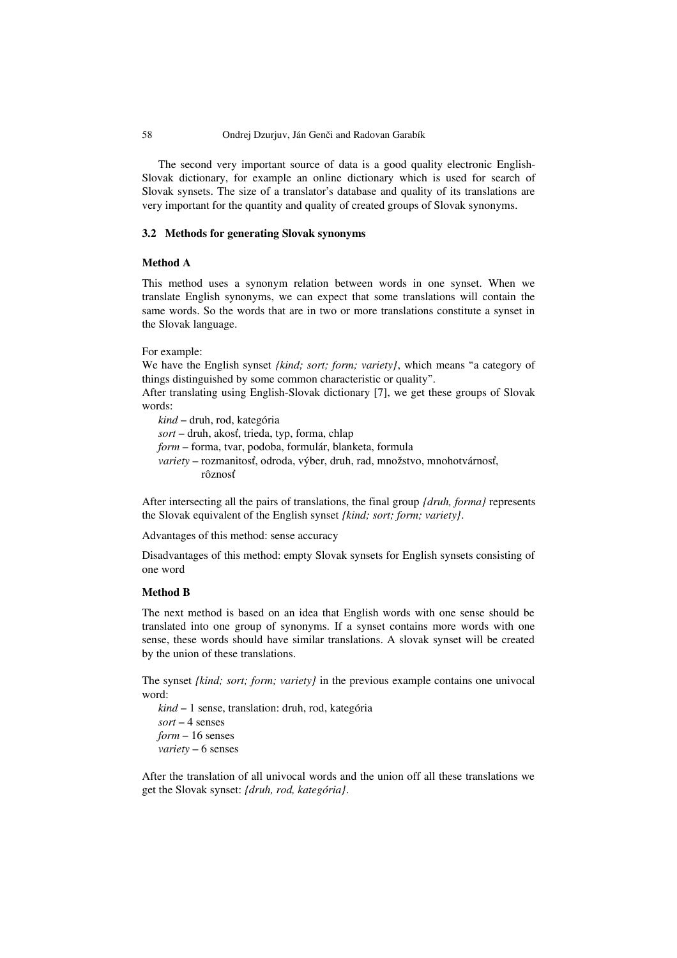## 58 Ondrej Dzurjuv, Ján Genči and Radovan Garabík

The second very important source of data is a good quality electronic English-Slovak dictionary, for example an online dictionary which is used for search of Slovak synsets. The size of a translator's database and quality of its translations are very important for the quantity and quality of created groups of Slovak synonyms.

## **3.2 Methods for generating Slovak synonyms**

# **Method A**

This method uses a synonym relation between words in one synset. When we translate English synonyms, we can expect that some translations will contain the same words. So the words that are in two or more translations constitute a synset in the Slovak language.

For example:

We have the English synset *{kind; sort; form; variety}*, which means "a category of things distinguished by some common characteristic or quality".

After translating using English-Slovak dictionary [7], we get these groups of Slovak words:

*kind* – druh, rod, kategória *sort* – druh, akosť, trieda, typ, forma, chlap *form* – forma, tvar, podoba, formulár, blanketa, formula *variety* – rozmanitosť, odroda, výber, druh, rad, množstvo, mnohotvárnosť, rôznosť

After intersecting all the pairs of translations, the final group *{druh, forma}* represents the Slovak equivalent of the English synset *{kind; sort; form; variety}*.

Advantages of this method: sense accuracy

Disadvantages of this method: empty Slovak synsets for English synsets consisting of one word

## **Method B**

The next method is based on an idea that English words with one sense should be translated into one group of synonyms. If a synset contains more words with one sense, these words should have similar translations. A slovak synset will be created by the union of these translations.

The synset *{kind; sort; form; variety}* in the previous example contains one univocal word:

*kind* – 1 sense, translation: druh, rod, kategória *sort* – 4 senses *form* – 16 senses *variety* – 6 senses

After the translation of all univocal words and the union off all these translations we get the Slovak synset: *{druh, rod, kategória}*.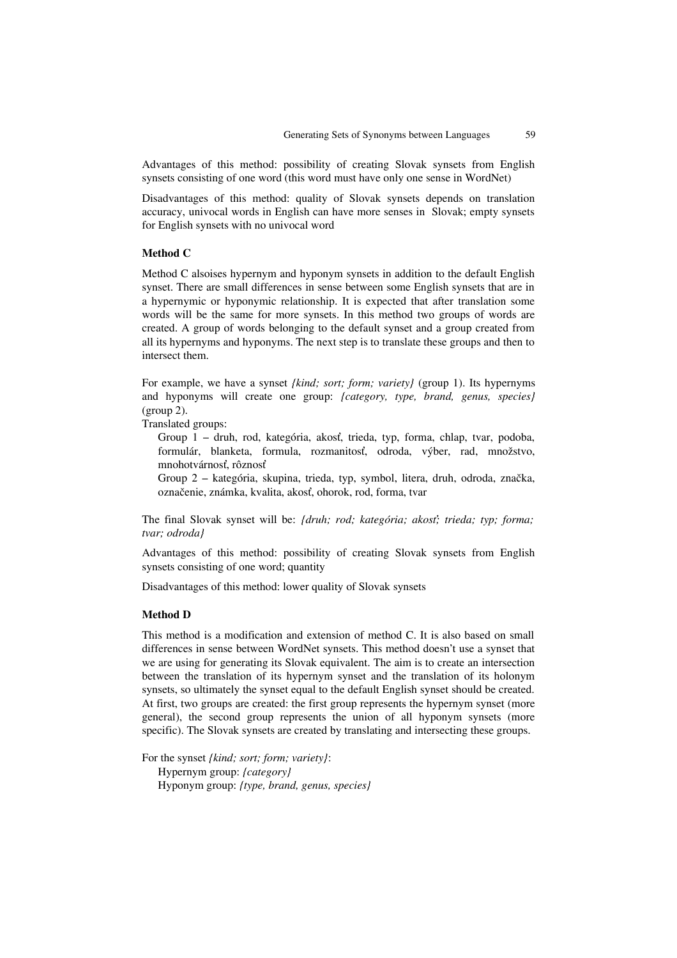Advantages of this method: possibility of creating Slovak synsets from English synsets consisting of one word (this word must have only one sense in WordNet)

Disadvantages of this method: quality of Slovak synsets depends on translation accuracy, univocal words in English can have more senses in Slovak; empty synsets for English synsets with no univocal word

## **Method C**

Method C alsoises hypernym and hyponym synsets in addition to the default English synset. There are small differences in sense between some English synsets that are in a hypernymic or hyponymic relationship. It is expected that after translation some words will be the same for more synsets. In this method two groups of words are created. A group of words belonging to the default synset and a group created from all its hypernyms and hyponyms. The next step is to translate these groups and then to intersect them.

For example, we have a synset *{kind; sort; form; variety}* (group 1). Its hypernyms and hyponyms will create one group: *{category, type, brand, genus, species}* (group 2).

Translated groups:

Group 1 – druh, rod, kategória, akosť, trieda, typ, forma, chlap, tvar, podoba, formulár, blanketa, formula, rozmanitosť, odroda, výber, rad, množstvo, mnohotvárnosť, rôznosť

Group 2 – kategória, skupina, trieda, typ, symbol, litera, druh, odroda, značka, označenie, známka, kvalita, akosť, ohorok, rod, forma, tvar

The final Slovak synset will be: *{druh; rod; kategória; akosť; trieda; typ; forma; tvar; odroda}*

Advantages of this method: possibility of creating Slovak synsets from English synsets consisting of one word; quantity

Disadvantages of this method: lower quality of Slovak synsets

## **Method D**

This method is a modification and extension of method C. It is also based on small differences in sense between WordNet synsets. This method doesn't use a synset that we are using for generating its Slovak equivalent. The aim is to create an intersection between the translation of its hypernym synset and the translation of its holonym synsets, so ultimately the synset equal to the default English synset should be created. At first, two groups are created: the first group represents the hypernym synset (more general), the second group represents the union of all hyponym synsets (more specific). The Slovak synsets are created by translating and intersecting these groups.

For the synset *{kind; sort; form; variety}*: Hypernym group: *{category}* Hyponym group: *{type, brand, genus, species}*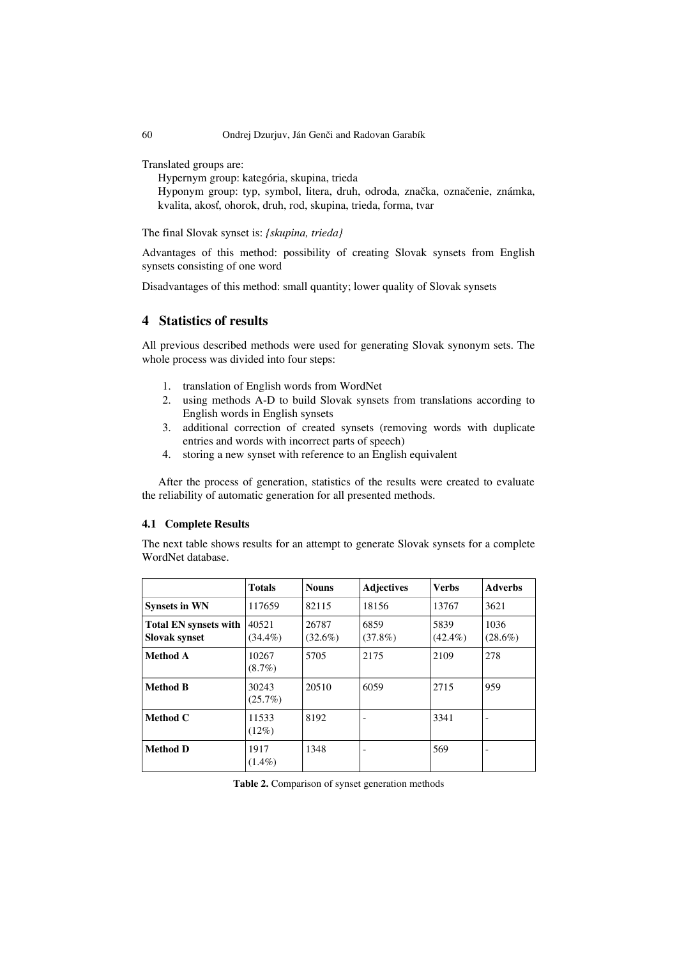Translated groups are:

Hypernym group: kategória, skupina, trieda Hyponym group: typ, symbol, litera, druh, odroda, značka, označenie, známka, kvalita, akosť, ohorok, druh, rod, skupina, trieda, forma, tvar

The final Slovak synset is: *{skupina, trieda}*

Advantages of this method: possibility of creating Slovak synsets from English synsets consisting of one word

Disadvantages of this method: small quantity; lower quality of Slovak synsets

# **4 Statistics of results**

All previous described methods were used for generating Slovak synonym sets. The whole process was divided into four steps:

- 1. translation of English words from WordNet
- 2. using methods A-D to build Slovak synsets from translations according to English words in English synsets
- 3. additional correction of created synsets (removing words with duplicate entries and words with incorrect parts of speech)
- 4. storing a new synset with reference to an English equivalent

After the process of generation, statistics of the results were created to evaluate the reliability of automatic generation for all presented methods.

### **4.1 Complete Results**

The next table shows results for an attempt to generate Slovak synsets for a complete WordNet database.

|                                                      | <b>Totals</b>       | <b>Nouns</b>        | <b>Adjectives</b>        | <b>Verbs</b>       | <b>Adverbs</b>           |
|------------------------------------------------------|---------------------|---------------------|--------------------------|--------------------|--------------------------|
| <b>Synsets in WN</b>                                 | 117659              | 82115               | 18156                    | 13767              | 3621                     |
| <b>Total EN synsets with</b><br><b>Slovak synset</b> | 40521<br>$(34.4\%)$ | 26787<br>$(32.6\%)$ | 6859<br>$(37.8\%)$       | 5839<br>$(42.4\%)$ | 1036<br>$(28.6\%)$       |
| <b>Method A</b>                                      | 10267<br>$(8.7\%)$  | 5705                | 2175                     | 2109               | 278                      |
| <b>Method B</b>                                      | 30243<br>$(25.7\%)$ | 20510               | 6059                     | 2715               | 959                      |
| Method C                                             | 11533<br>$(12\%)$   | 8192                | $\overline{\phantom{a}}$ | 3341               | $\overline{\phantom{a}}$ |
| <b>Method D</b>                                      | 1917<br>$(1.4\%)$   | 1348                | $\overline{\phantom{a}}$ | 569                | $\overline{\phantom{a}}$ |

<span id="page-4-0"></span>**Table 2.** Comparison of synset generation methods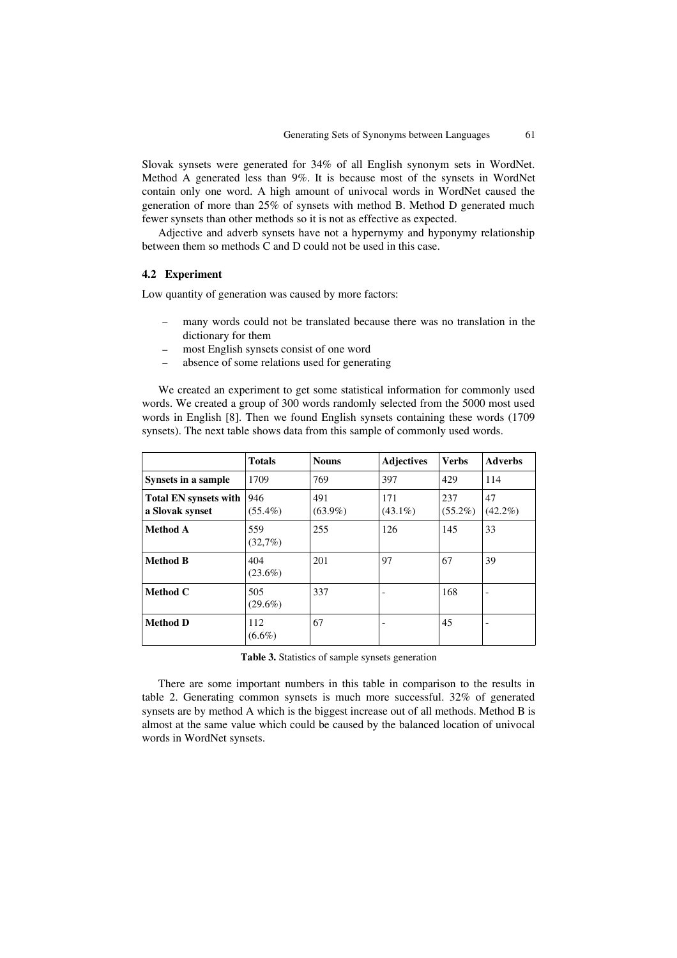Slovak synsets were generated for 34% of all English synonym sets in WordNet. Method A generated less than 9%. It is because most of the synsets in WordNet contain only one word. A high amount of univocal words in WordNet caused the generation of more than 25% of synsets with method B. Method D generated much fewer synsets than other methods so it is not as effective as expected.

Adjective and adverb synsets have not a hypernymy and hyponymy relationship between them so methods C and D could not be used in this case.

#### **4.2 Experiment**

Low quantity of generation was caused by more factors:

- ‒ many words could not be translated because there was no translation in the dictionary for them
- ‒ most English synsets consist of one word
- ‒ absence of some relations used for generating

We created an experiment to get some statistical information for commonly used words. We created a group of 300 words randomly selected from the 5000 most used words in English [8]. Then we found English synsets containing these words (1709 synsets). The next table shows data from this sample of commonly used words.

|                                                 | <b>Totals</b>     | <b>Nouns</b>      | <b>Adjectives</b> | <b>Verbs</b>      | <b>Adverbs</b>   |
|-------------------------------------------------|-------------------|-------------------|-------------------|-------------------|------------------|
| Synsets in a sample                             | 1709              | 769               | 397               | 429               | 114              |
| <b>Total EN synsets with</b><br>a Slovak synset | 946<br>$(55.4\%)$ | 491<br>$(63.9\%)$ | 171<br>$(43.1\%)$ | 237<br>$(55.2\%)$ | 47<br>$(42.2\%)$ |
| Method A                                        | 559<br>(32,7%)    | 255               | 126               | 145               | 33               |
| <b>Method B</b>                                 | 404<br>$(23.6\%)$ | 201               | 97                | 67                | 39               |
| Method C                                        | 505<br>$(29.6\%)$ | 337               |                   | 168               |                  |
| <b>Method D</b>                                 | 112<br>$(6.6\%)$  | 67                |                   | 45                |                  |

**Table 3.** Statistics of sample synsets generation

There are some important numbers in this table in comparison to the results in table [2.](#page-4-0) Generating common synsets is much more successful. 32% of generated synsets are by method A which is the biggest increase out of all methods. Method B is almost at the same value which could be caused by the balanced location of univocal words in WordNet synsets.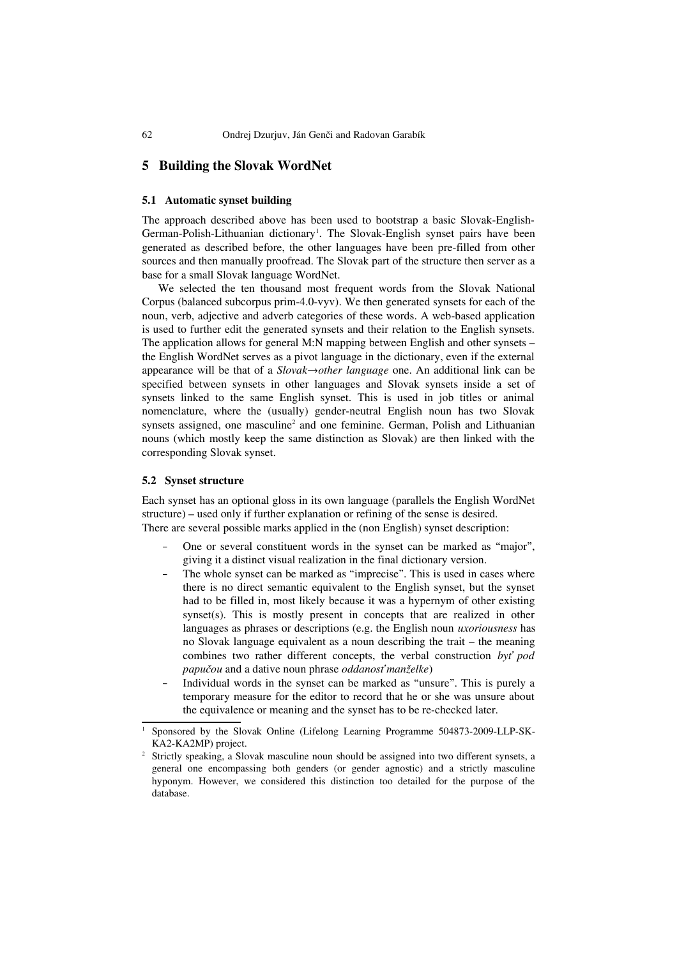## **5 Building the Slovak WordNet**

#### **5.1 Automatic synset building**

The approach described above has been used to bootstrap a basic Slovak-English-German-Polish-Lithuanian dictionary<sup>[1](#page-6-0)</sup>. The Slovak-English synset pairs have been generated as described before, the other languages have been pre-filled from other sources and then manually proofread. The Slovak part of the structure then server as a base for a small Slovak language WordNet.

We selected the ten thousand most frequent words from the Slovak National Corpus (balanced subcorpus prim-4.0-vyv). We then generated synsets for each of the noun, verb, adjective and adverb categories of these words. A web-based application is used to further edit the generated synsets and their relation to the English synsets. The application allows for general M:N mapping between English and other synsets – the English WordNet serves as a pivot language in the dictionary, even if the external appearance will be that of a *Slovak*→*other language* one. An additional link can be specified between synsets in other languages and Slovak synsets inside a set of synsets linked to the same English synset. This is used in job titles or animal nomenclature, where the (usually) gender-neutral English noun has two Slovak synsets assigned, one masculine<sup>[2](#page-6-1)</sup> and one feminine. German, Polish and Lithuanian nouns (which mostly keep the same distinction as Slovak) are then linked with the corresponding Slovak synset.

### **5.2 Synset structure**

Each synset has an optional gloss in its own language (parallels the English WordNet structure) – used only if further explanation or refining of the sense is desired. There are several possible marks applied in the (non English) synset description:

- One or several constituent words in the synset can be marked as "major", giving it a distinct visual realization in the final dictionary version.
- The whole synset can be marked as "imprecise". This is used in cases where there is no direct semantic equivalent to the English synset, but the synset had to be filled in, most likely because it was a hypernym of other existing synset(s). This is mostly present in concepts that are realized in other languages as phrases or descriptions (e.g. the English noun *uxoriousness* has no Slovak language equivalent as a noun describing the trait – the meaning combines two rather different concepts, the verbal construction *byť pod papučou* and a dative noun phrase *oddanosť manželke*)
- Individual words in the synset can be marked as "unsure". This is purely a temporary measure for the editor to record that he or she was unsure about the equivalence or meaning and the synset has to be re-checked later.

<span id="page-6-0"></span><sup>1</sup> Sponsored by the Slovak Online (Lifelong Learning Programme 504873-2009-LLP-SK-KA2-KA2MP) project.

<span id="page-6-1"></span><sup>2</sup> Strictly speaking, a Slovak masculine noun should be assigned into two different synsets, a general one encompassing both genders (or gender agnostic) and a strictly masculine hyponym. However, we considered this distinction too detailed for the purpose of the database.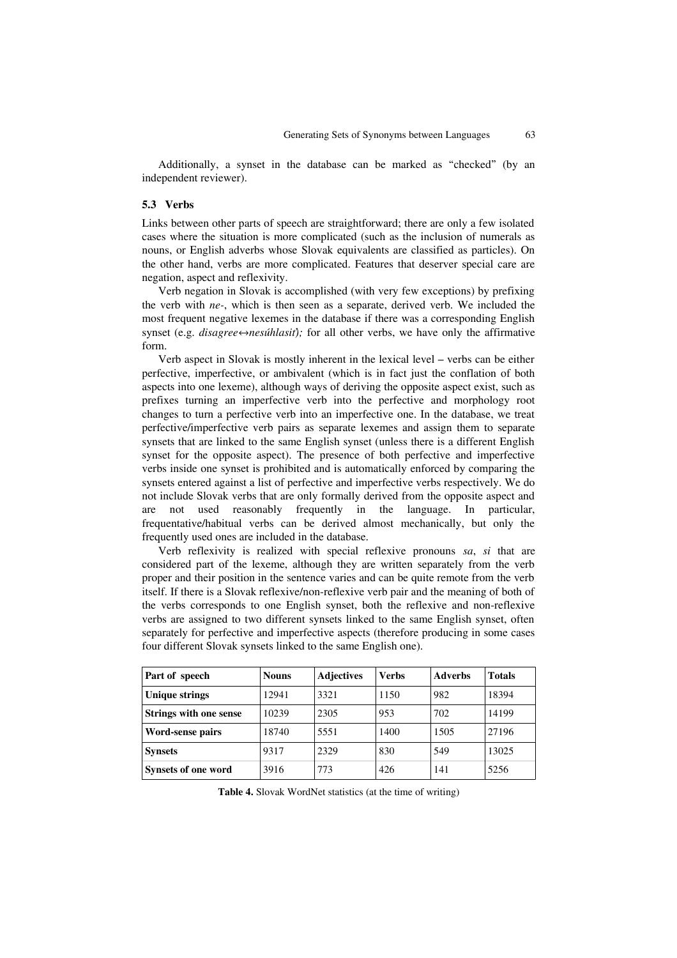Additionally, a synset in the database can be marked as "checked" (by an independent reviewer).

#### **5.3 Verbs**

Links between other parts of speech are straightforward; there are only a few isolated cases where the situation is more complicated (such as the inclusion of numerals as nouns, or English adverbs whose Slovak equivalents are classified as particles). On the other hand, verbs are more complicated. Features that deserver special care are negation, aspect and reflexivity.

Verb negation in Slovak is accomplished (with very few exceptions) by prefixing the verb with *ne-*, which is then seen as a separate, derived verb. We included the most frequent negative lexemes in the database if there was a corresponding English synset (e.g. *disagree⇔nesúhlasiť*); for all other verbs, we have only the affirmative form.

Verb aspect in Slovak is mostly inherent in the lexical level – verbs can be either perfective, imperfective, or ambivalent (which is in fact just the conflation of both aspects into one lexeme), although ways of deriving the opposite aspect exist, such as prefixes turning an imperfective verb into the perfective and morphology root changes to turn a perfective verb into an imperfective one. In the database, we treat perfective/imperfective verb pairs as separate lexemes and assign them to separate synsets that are linked to the same English synset (unless there is a different English synset for the opposite aspect). The presence of both perfective and imperfective verbs inside one synset is prohibited and is automatically enforced by comparing the synsets entered against a list of perfective and imperfective verbs respectively. We do not include Slovak verbs that are only formally derived from the opposite aspect and are not used reasonably frequently in the language. In particular, frequentative/habitual verbs can be derived almost mechanically, but only the frequently used ones are included in the database.

Verb reflexivity is realized with special reflexive pronouns *sa*, *si* that are considered part of the lexeme, although they are written separately from the verb proper and their position in the sentence varies and can be quite remote from the verb itself. If there is a Slovak reflexive/non-reflexive verb pair and the meaning of both of the verbs corresponds to one English synset, both the reflexive and non-reflexive verbs are assigned to two different synsets linked to the same English synset, often separately for perfective and imperfective aspects (therefore producing in some cases four different Slovak synsets linked to the same English one).

| Part of speech                | <b>Nouns</b> | <b>Adjectives</b> | <b>Verbs</b> | <b>Adverbs</b> | <b>Totals</b> |
|-------------------------------|--------------|-------------------|--------------|----------------|---------------|
| <b>Unique strings</b>         | 12941        | 3321              | 1150         | 982            | 18394         |
| <b>Strings with one sense</b> | 10239        | 2305              | 953          | 702            | 14199         |
| Word-sense pairs              | 18740        | 5551              | 1400         | 1505           | 27196         |
| <b>Synsets</b>                | 9317         | 2329              | 830          | 549            | 13025         |
| <b>Synsets of one word</b>    | 3916         | 773               | 426          | 141            | 5256          |

**Table 4.** Slovak WordNet statistics (at the time of writing)